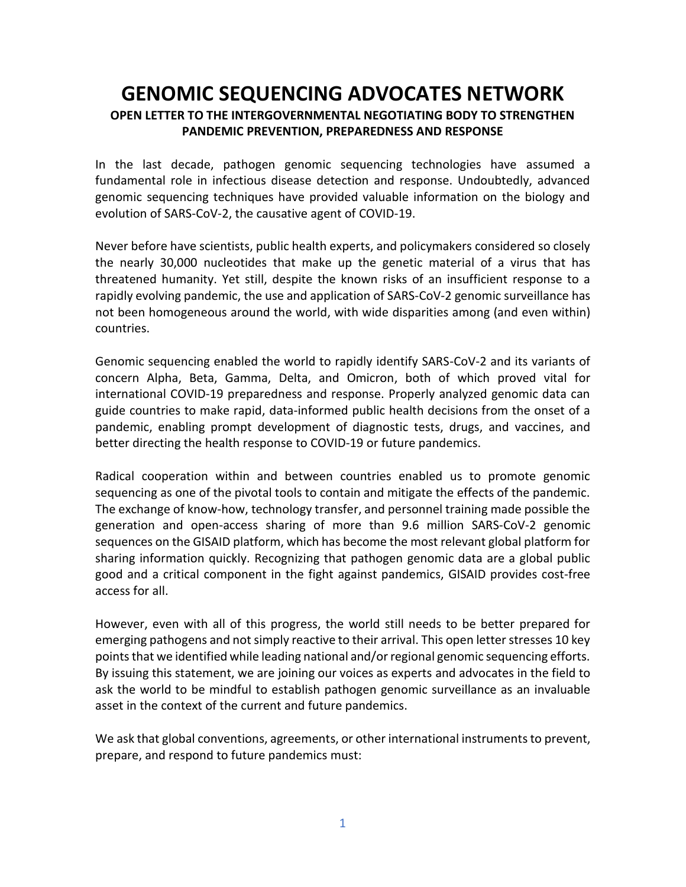## **GENOMIC SEQUENCING ADVOCATES NETWORK OPEN LETTER TO THE INTERGOVERNMENTAL NEGOTIATING BODY TO STRENGTHEN PANDEMIC PREVENTION, PREPAREDNESS AND RESPONSE**

In the last decade, pathogen genomic sequencing technologies have assumed a fundamental role in infectious disease detection and response. Undoubtedly, advanced genomic sequencing techniques have provided valuable information on the biology and evolution of SARS-CoV-2, the causative agent of COVID-19.

Never before have scientists, public health experts, and policymakers considered so closely the nearly 30,000 nucleotides that make up the genetic material of a virus that has threatened humanity. Yet still, despite the known risks of an insufficient response to a rapidly evolving pandemic, the use and application of SARS-CoV-2 genomic surveillance has not been homogeneous around the world, with wide disparities among (and even within) countries.

Genomic sequencing enabled the world to rapidly identify SARS-CoV-2 and its variants of concern Alpha, Beta, Gamma, Delta, and Omicron, both of which proved vital for international COVID-19 preparedness and response. Properly analyzed genomic data can guide countries to make rapid, data-informed public health decisions from the onset of a pandemic, enabling prompt development of diagnostic tests, drugs, and vaccines, and better directing the health response to COVID-19 or future pandemics.

Radical cooperation within and between countries enabled us to promote genomic sequencing as one of the pivotal tools to contain and mitigate the effects of the pandemic. The exchange of know-how, technology transfer, and personnel training made possible the generation and open-access sharing of more than 9.6 million SARS-CoV-2 genomic sequences on the GISAID platform, which has become the most relevant global platform for sharing information quickly. Recognizing that pathogen genomic data are a global public good and a critical component in the fight against pandemics, GISAID provides cost-free access for all.

However, even with all of this progress, the world still needs to be better prepared for emerging pathogens and not simply reactive to their arrival. This open letter stresses 10 key points that we identified while leading national and/or regional genomic sequencing efforts. By issuing this statement, we are joining our voices as experts and advocates in the field to ask the world to be mindful to establish pathogen genomic surveillance as an invaluable asset in the context of the current and future pandemics.

We ask that global conventions, agreements, or other international instruments to prevent, prepare, and respond to future pandemics must: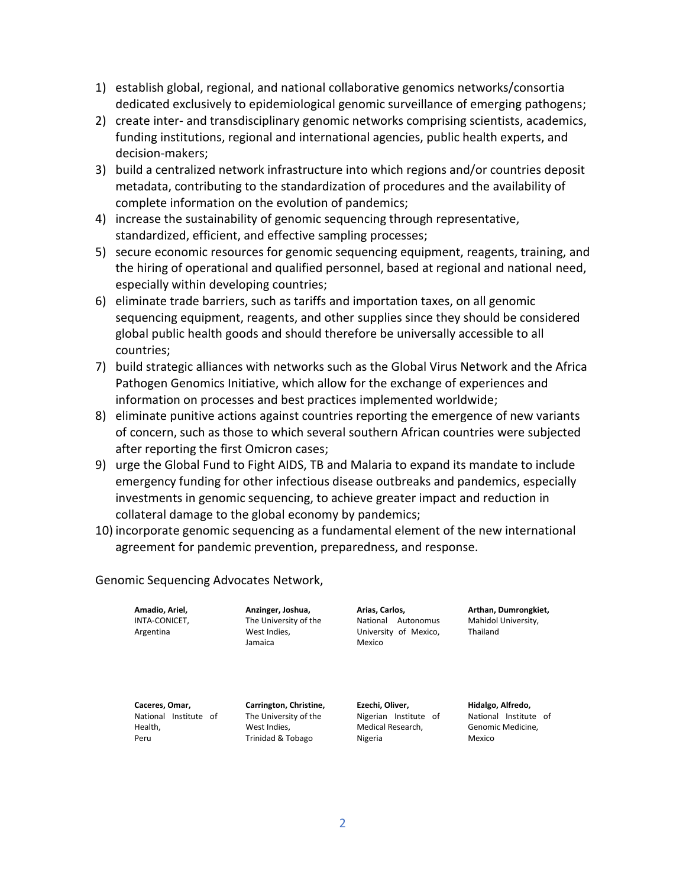- 1) establish global, regional, and national collaborative genomics networks/consortia dedicated exclusively to epidemiological genomic surveillance of emerging pathogens;
- 2) create inter- and transdisciplinary genomic networks comprising scientists, academics, funding institutions, regional and international agencies, public health experts, and decision-makers;
- 3) build a centralized network infrastructure into which regions and/or countries deposit metadata, contributing to the standardization of procedures and the availability of complete information on the evolution of pandemics;
- 4) increase the sustainability of genomic sequencing through representative, standardized, efficient, and effective sampling processes;
- 5) secure economic resources for genomic sequencing equipment, reagents, training, and the hiring of operational and qualified personnel, based at regional and national need, especially within developing countries;
- 6) eliminate trade barriers, such as tariffs and importation taxes, on all genomic sequencing equipment, reagents, and other supplies since they should be considered global public health goods and should therefore be universally accessible to all countries;
- 7) build strategic alliances with networks such as the Global Virus Network and the Africa Pathogen Genomics Initiative, which allow for the exchange of experiences and information on processes and best practices implemented worldwide;
- 8) eliminate punitive actions against countries reporting the emergence of new variants of concern, such as those to which several southern African countries were subjected after reporting the first Omicron cases;
- 9) urge the Global Fund to Fight AIDS, TB and Malaria to expand its mandate to include emergency funding for other infectious disease outbreaks and pandemics, especially investments in genomic sequencing, to achieve greater impact and reduction in collateral damage to the global economy by pandemics;
- 10) incorporate genomic sequencing as a fundamental element of the new international agreement for pandemic prevention, preparedness, and response.

Genomic Sequencing Advocates Network,

**Amadio, Ariel,** INTA-CONICET, Argentina

**Anzinger, Joshua,** The University of the West Indies, Jamaica

**Arias, Carlos,** National Autonomus University of Mexico, Mexico

**Arthan, Dumrongkiet,** Mahidol University, Thailand

**Caceres, Omar,** National Institute of Health, Peru

**Carrington, Christine,** The University of the West Indies, Trinidad & Tobago

**Ezechi, Oliver,**  Nigerian Institute of Medical Research, Nigeria

**Hidalgo, Alfredo,**  National Institute of Genomic Medicine, Mexico